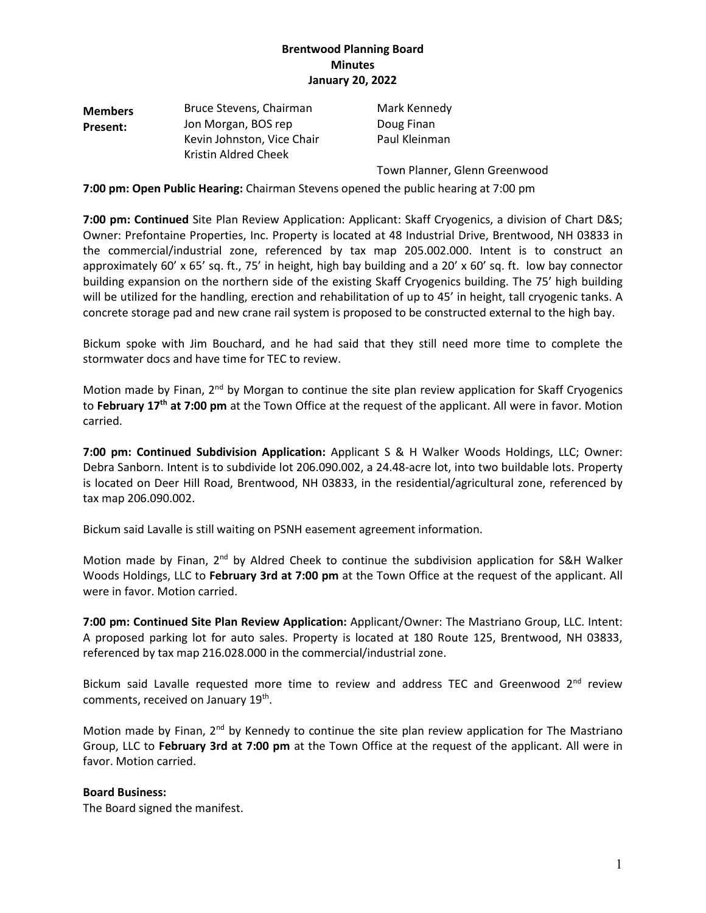# **Brentwood Planning Board Minutes January 20, 2022**

| <b>Members</b> | Bruce Stevens, Chairman                            | Mark Kennedy  |
|----------------|----------------------------------------------------|---------------|
| Present:       | Jon Morgan, BOS rep                                | Doug Finan    |
|                | Kevin Johnston, Vice Chair<br>Kristin Aldred Cheek | Paul Kleinman |
|                |                                                    |               |

Town Planner, Glenn Greenwood

#### **7:00 pm: Open Public Hearing:** Chairman Stevens opened the public hearing at 7:00 pm

**7:00 pm: Continued** Site Plan Review Application: Applicant: Skaff Cryogenics, a division of Chart D&S; Owner: Prefontaine Properties, Inc. Property is located at 48 Industrial Drive, Brentwood, NH 03833 in the commercial/industrial zone, referenced by tax map 205.002.000. Intent is to construct an approximately 60' x 65' sq. ft., 75' in height, high bay building and a 20' x 60' sq. ft. low bay connector building expansion on the northern side of the existing Skaff Cryogenics building. The 75' high building will be utilized for the handling, erection and rehabilitation of up to 45' in height, tall cryogenic tanks. A concrete storage pad and new crane rail system is proposed to be constructed external to the high bay.

Bickum spoke with Jim Bouchard, and he had said that they still need more time to complete the stormwater docs and have time for TEC to review.

Motion made by Finan, 2<sup>nd</sup> by Morgan to continue the site plan review application for Skaff Cryogenics to February 17<sup>th</sup> at 7:00 pm at the Town Office at the request of the applicant. All were in favor. Motion carried.

**7:00 pm: Continued Subdivision Application:** Applicant S & H Walker Woods Holdings, LLC; Owner: Debra Sanborn. Intent is to subdivide lot 206.090.002, a 24.48-acre lot, into two buildable lots. Property is located on Deer Hill Road, Brentwood, NH 03833, in the residential/agricultural zone, referenced by tax map 206.090.002.

Bickum said Lavalle is still waiting on PSNH easement agreement information.

Motion made by Finan,  $2^{nd}$  by Aldred Cheek to continue the subdivision application for S&H Walker Woods Holdings, LLC to **February 3rd at 7:00 pm** at the Town Office at the request of the applicant. All were in favor. Motion carried.

**7:00 pm: Continued Site Plan Review Application:** Applicant/Owner: The Mastriano Group, LLC. Intent: A proposed parking lot for auto sales. Property is located at 180 Route 125, Brentwood, NH 03833, referenced by tax map 216.028.000 in the commercial/industrial zone.

Bickum said Lavalle requested more time to review and address TEC and Greenwood 2<sup>nd</sup> review comments, received on January 19<sup>th</sup>.

Motion made by Finan, 2<sup>nd</sup> by Kennedy to continue the site plan review application for The Mastriano Group, LLC to **February 3rd at 7:00 pm** at the Town Office at the request of the applicant. All were in favor. Motion carried.

#### **Board Business:**

The Board signed the manifest.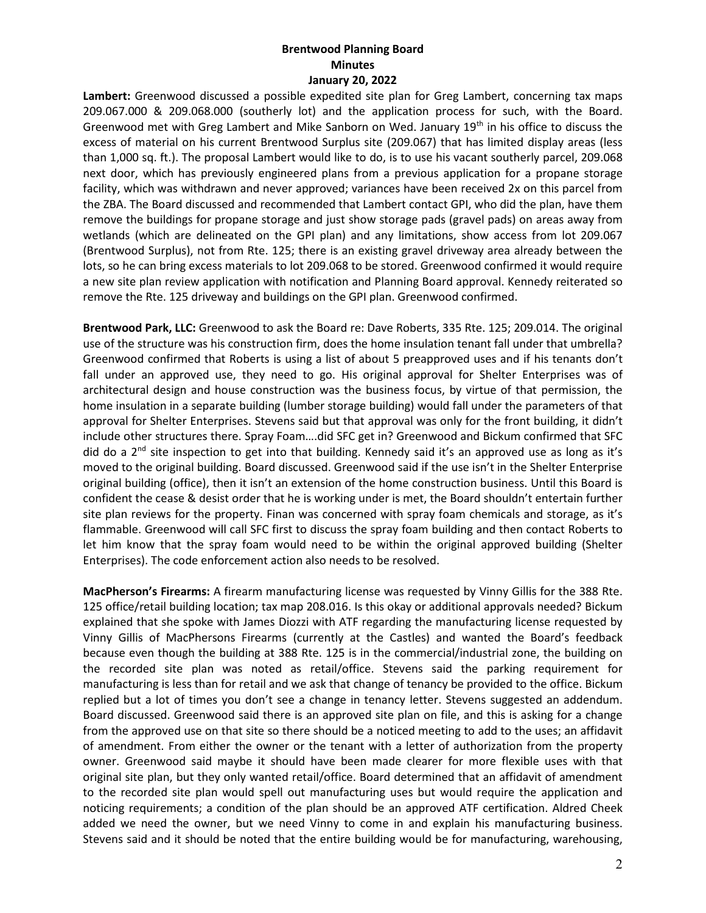### **Brentwood Planning Board Minutes January 20, 2022**

**Lambert:** Greenwood discussed a possible expedited site plan for Greg Lambert, concerning tax maps 209.067.000 & 209.068.000 (southerly lot) and the application process for such, with the Board. Greenwood met with Greg Lambert and Mike Sanborn on Wed. January 19<sup>th</sup> in his office to discuss the excess of material on his current Brentwood Surplus site (209.067) that has limited display areas (less than 1,000 sq. ft.). The proposal Lambert would like to do, is to use his vacant southerly parcel, 209.068 next door, which has previously engineered plans from a previous application for a propane storage facility, which was withdrawn and never approved; variances have been received 2x on this parcel from the ZBA. The Board discussed and recommended that Lambert contact GPI, who did the plan, have them remove the buildings for propane storage and just show storage pads (gravel pads) on areas away from wetlands (which are delineated on the GPI plan) and any limitations, show access from lot 209.067 (Brentwood Surplus), not from Rte. 125; there is an existing gravel driveway area already between the lots, so he can bring excess materials to lot 209.068 to be stored. Greenwood confirmed it would require a new site plan review application with notification and Planning Board approval. Kennedy reiterated so remove the Rte. 125 driveway and buildings on the GPI plan. Greenwood confirmed.

**Brentwood Park, LLC:** Greenwood to ask the Board re: Dave Roberts, 335 Rte. 125; 209.014. The original use of the structure was his construction firm, does the home insulation tenant fall under that umbrella? Greenwood confirmed that Roberts is using a list of about 5 preapproved uses and if his tenants don't fall under an approved use, they need to go. His original approval for Shelter Enterprises was of architectural design and house construction was the business focus, by virtue of that permission, the home insulation in a separate building (lumber storage building) would fall under the parameters of that approval for Shelter Enterprises. Stevens said but that approval was only for the front building, it didn't include other structures there. Spray Foam….did SFC get in? Greenwood and Bickum confirmed that SFC did do a 2<sup>nd</sup> site inspection to get into that building. Kennedy said it's an approved use as long as it's moved to the original building. Board discussed. Greenwood said if the use isn't in the Shelter Enterprise original building (office), then it isn't an extension of the home construction business. Until this Board is confident the cease & desist order that he is working under is met, the Board shouldn't entertain further site plan reviews for the property. Finan was concerned with spray foam chemicals and storage, as it's flammable. Greenwood will call SFC first to discuss the spray foam building and then contact Roberts to let him know that the spray foam would need to be within the original approved building (Shelter Enterprises). The code enforcement action also needs to be resolved.

**MacPherson's Firearms:** A firearm manufacturing license was requested by Vinny Gillis for the 388 Rte. 125 office/retail building location; tax map 208.016. Is this okay or additional approvals needed? Bickum explained that she spoke with James Diozzi with ATF regarding the manufacturing license requested by Vinny Gillis of MacPhersons Firearms (currently at the Castles) and wanted the Board's feedback because even though the building at 388 Rte. 125 is in the commercial/industrial zone, the building on the recorded site plan was noted as retail/office. Stevens said the parking requirement for manufacturing is less than for retail and we ask that change of tenancy be provided to the office. Bickum replied but a lot of times you don't see a change in tenancy letter. Stevens suggested an addendum. Board discussed. Greenwood said there is an approved site plan on file, and this is asking for a change from the approved use on that site so there should be a noticed meeting to add to the uses; an affidavit of amendment. From either the owner or the tenant with a letter of authorization from the property owner. Greenwood said maybe it should have been made clearer for more flexible uses with that original site plan, but they only wanted retail/office. Board determined that an affidavit of amendment to the recorded site plan would spell out manufacturing uses but would require the application and noticing requirements; a condition of the plan should be an approved ATF certification. Aldred Cheek added we need the owner, but we need Vinny to come in and explain his manufacturing business. Stevens said and it should be noted that the entire building would be for manufacturing, warehousing,